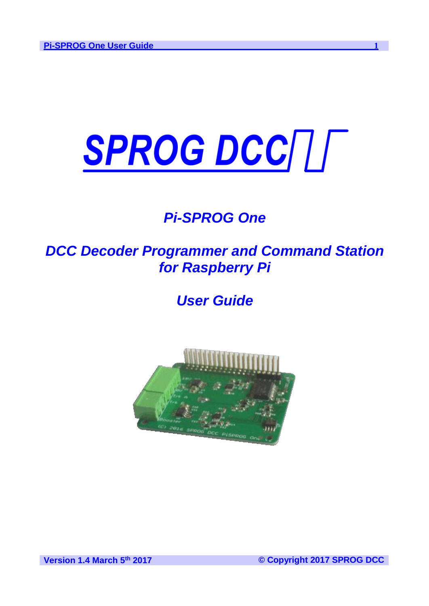# SPROG DCC/L

# *Pi-SPROG One*

# *DCC Decoder Programmer and Command Station for Raspberry Pi*

# *User Guide*

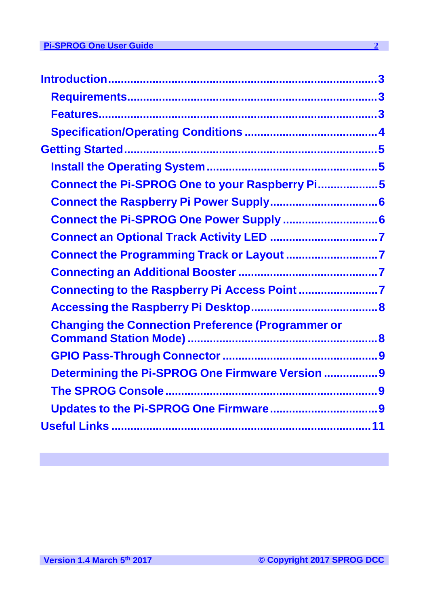| Connect the Pi-SPROG One to your Raspberry Pi5           |  |
|----------------------------------------------------------|--|
|                                                          |  |
| Connect the Pi-SPROG One Power Supply  6                 |  |
|                                                          |  |
|                                                          |  |
|                                                          |  |
| Connecting to the Raspberry Pi Access Point 7            |  |
|                                                          |  |
| <b>Changing the Connection Preference (Programmer or</b> |  |
|                                                          |  |
| Determining the Pi-SPROG One Firmware Version 9          |  |
|                                                          |  |
|                                                          |  |
|                                                          |  |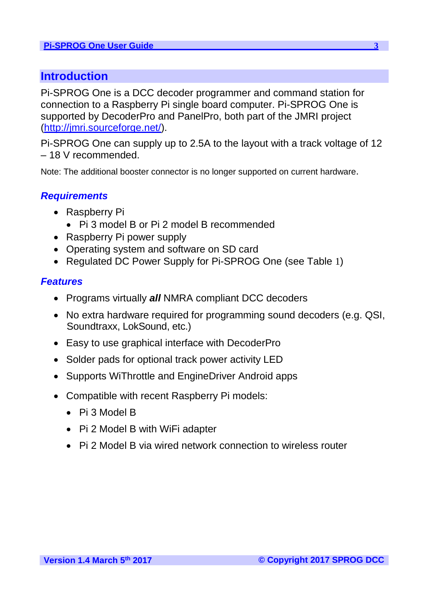## **Introduction**

Pi-SPROG One is a DCC decoder programmer and command station for connection to a Raspberry Pi single board computer. Pi-SPROG One is supported by DecoderPro and PanelPro, both part of the JMRI project [\(http://jmri.sourceforge.net/\)](http://jmri.sourceforge.net/).

Pi-SPROG One can supply up to 2.5A to the layout with a track voltage of 12 – 18 V recommended.

Note: The additional booster connector is no longer supported on current hardware.

#### *Requirements*

- Raspberry Pi
	- Pi 3 model B or Pi 2 model B recommended
- Raspberry Pi power supply
- Operating system and software on SD card
- Regulated DC Power Supply for Pi-SPROG One (see Table 1)

#### *Features*

- Programs virtually *all* NMRA compliant DCC decoders
- No extra hardware required for programming sound decoders (e.g. QSI, Soundtraxx, LokSound, etc.)
- Easy to use graphical interface with DecoderPro
- Solder pads for optional track power activity LED
- Supports WiThrottle and EngineDriver Android apps
- Compatible with recent Raspberry Pi models:
	- Pi 3 Model B
	- Pi 2 Model B with WiFi adapter
	- Pi 2 Model B via wired network connection to wireless router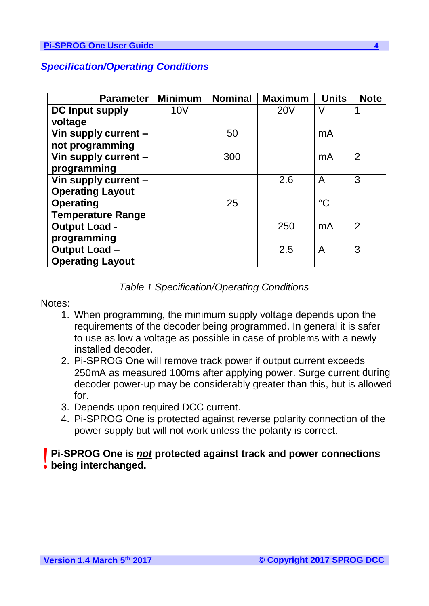| <b>Parameter</b>         | <b>Minimum</b>  | <b>Nominal</b> | <b>Maximum</b> | <b>Units</b>   | <b>Note</b>    |
|--------------------------|-----------------|----------------|----------------|----------------|----------------|
| <b>DC Input supply</b>   | 10 <sub>V</sub> |                | <b>20V</b>     | $\vee$         |                |
| voltage                  |                 |                |                |                |                |
| Vin supply current -     |                 | 50             |                | mA             |                |
| not programming          |                 |                |                |                |                |
| Vin supply current -     |                 | 300            |                | mA             | $\overline{2}$ |
| programming              |                 |                |                |                |                |
| Vin supply current -     |                 |                | 2.6            | $\overline{A}$ | 3              |
| <b>Operating Layout</b>  |                 |                |                |                |                |
| <b>Operating</b>         |                 | 25             |                | $^{\circ}C$    |                |
| <b>Temperature Range</b> |                 |                |                |                |                |
| <b>Output Load -</b>     |                 |                | 250            | mA             | $\overline{2}$ |
| programming              |                 |                |                |                |                |
| <b>Output Load-</b>      |                 |                | 2.5            | A              | 3              |
| <b>Operating Layout</b>  |                 |                |                |                |                |

#### *Specification/Operating Conditions*

#### *Table 1 Specification/Operating Conditions*

Notes:

- 1. When programming, the minimum supply voltage depends upon the requirements of the decoder being programmed. In general it is safer to use as low a voltage as possible in case of problems with a newly installed decoder.
- 2. Pi-SPROG One will remove track power if output current exceeds 250mA as measured 100ms after applying power. Surge current during decoder power-up may be considerably greater than this, but is allowed for.
- 3. Depends upon required DCC current.
- 4. Pi-SPROG One is protected against reverse polarity connection of the power supply but will not work unless the polarity is correct.

# **Pi-SPROG One is** *no* being interchanged. **Pi-SPROG One is** *not* **protected against track and power connections**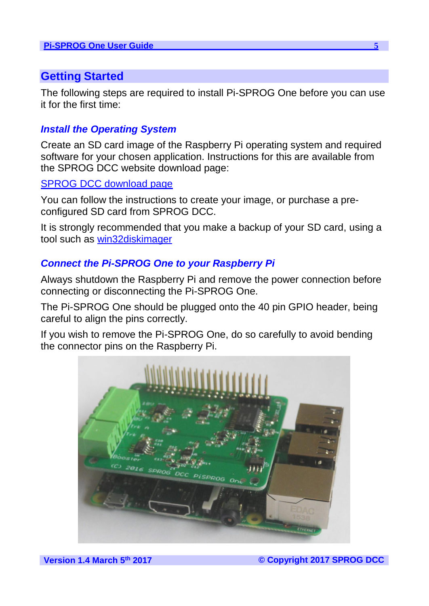## **Getting Started**

The following steps are required to install Pi-SPROG One before you can use it for the first time:

### *Install the Operating System*

Create an SD card image of the Raspberry Pi operating system and required software for your chosen application. Instructions for this are available from the SPROG DCC website download page:

#### SPROG [DCC download page](http://www.sprog-dcc.co.uk/download.shtml)

You can follow the instructions to create your image, or purchase a preconfigured SD card from SPROG DCC.

It is strongly recommended that you make a backup of your SD card, using a tool such as [win32diskimager](https://sourceforge.net/projects/win32diskimager/)

#### *Connect the Pi-SPROG One to your Raspberry Pi*

Always shutdown the Raspberry Pi and remove the power connection before connecting or disconnecting the Pi-SPROG One.

The Pi-SPROG One should be plugged onto the 40 pin GPIO header, being careful to align the pins correctly.

If you wish to remove the Pi-SPROG One, do so carefully to avoid bending the connector pins on the Raspberry Pi.

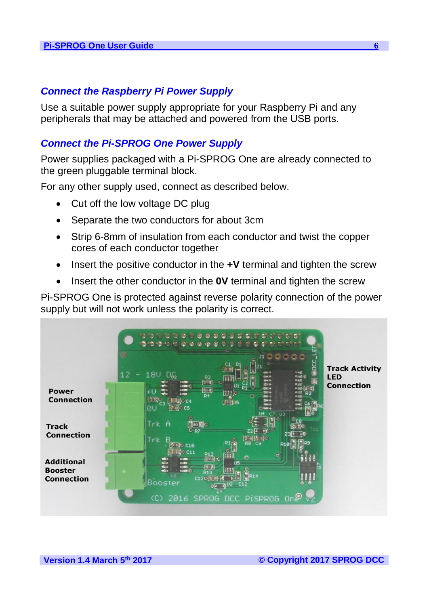#### *Connect the Raspberry Pi Power Supply*

Use a suitable power supply appropriate for your Raspberry Pi and any peripherals that may be attached and powered from the USB ports.

#### *Connect the Pi-SPROG One Power Supply*

Power supplies packaged with a Pi-SPROG One are already connected to the green pluggable terminal block.

For any other supply used, connect as described below.

- Cut off the low voltage DC plug
- Separate the two conductors for about 3cm
- Strip 6-8mm of insulation from each conductor and twist the copper cores of each conductor together
- Insert the positive conductor in the **+V** terminal and tighten the screw
- Insert the other conductor in the **0V** terminal and tighten the screw

Pi-SPROG One is protected against reverse polarity connection of the power supply but will not work unless the polarity is correct.

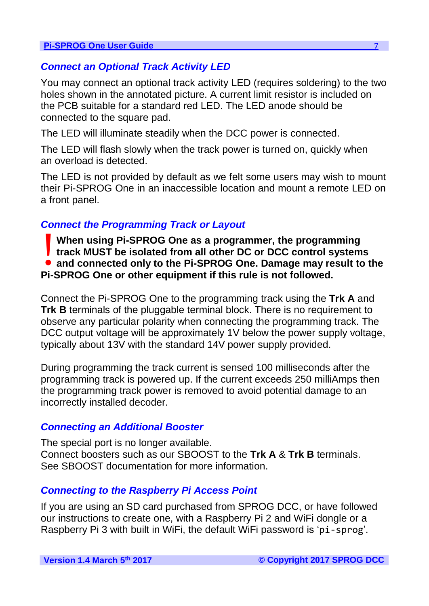#### *Connect an Optional Track Activity LED*

You may connect an optional track activity LED (requires soldering) to the two holes shown in the annotated picture. A current limit resistor is included on the PCB suitable for a standard red LED. The LED anode should be connected to the square pad.

The LED will illuminate steadily when the DCC power is connected.

The LED will flash slowly when the track power is turned on, quickly when an overload is detected.

The LED is not provided by default as we felt some users may wish to mount their Pi-SPROG One in an inaccessible location and mount a remote LED on a front panel.

#### *Connect the Programming Track or Layout*

**and connected only to the Pi-SPROG** One as a programmer, the programming<br> **and connected only to the Pi-SPROG** One. Damage may result to the<br> **Pi-SPROG** One. as a sthar a summant if this sub is not followed. **When using Pi-SPROG One as a programmer, the programming track MUST be isolated from all other DC or DCC control systems Pi-SPROG One or other equipment if this rule is not followed.**

Connect the Pi-SPROG One to the programming track using the **Trk A** and **Trk B** terminals of the pluggable terminal block. There is no requirement to observe any particular polarity when connecting the programming track. The DCC output voltage will be approximately 1V below the power supply voltage, typically about 13V with the standard 14V power supply provided.

During programming the track current is sensed 100 milliseconds after the programming track is powered up. If the current exceeds 250 milliAmps then the programming track power is removed to avoid potential damage to an incorrectly installed decoder.

#### *Connecting an Additional Booster*

The special port is no longer available. Connect boosters such as our SBOOST to the **Trk A** & **Trk B** terminals. See SBOOST documentation for more information.

#### *Connecting to the Raspberry Pi Access Point*

If you are using an SD card purchased from SPROG DCC, or have followed our instructions to create one, with a Raspberry Pi 2 and WiFi dongle or a Raspberry Pi 3 with built in WiFi, the default WiFi password is 'pi-sprog'.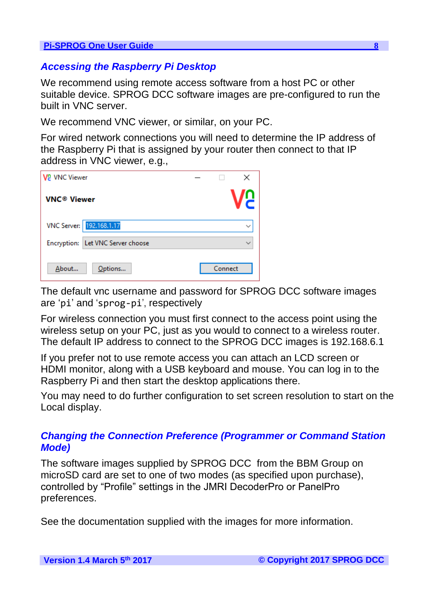#### *Accessing the Raspberry Pi Desktop*

We recommend using remote access software from a host PC or other suitable device. SPROG DCC software images are pre-configured to run the built in VNC server.

We recommend VNC viewer, or similar, on your PC.

For wired network connections you will need to determine the IP address of the Raspberry Pi that is assigned by your router then connect to that IP address in VNC viewer, e.g.,

| <b>V2</b> VNC Viewer          |                                   | ×            |
|-------------------------------|-----------------------------------|--------------|
| <b>VNC<sup>®</sup> Viewer</b> |                                   |              |
|                               | VNC Server: 192.168.1.17          | $\checkmark$ |
|                               | Encryption: Let VNC Server choose |              |
| About                         | Options                           | Connect      |

The default vnc username and password for SPROG DCC software images are 'pi' and 'sprog-pi', respectively

For wireless connection you must first connect to the access point using the wireless setup on your PC, just as you would to connect to a wireless router. The default IP address to connect to the SPROG DCC images is 192.168.6.1

If you prefer not to use remote access you can attach an LCD screen or HDMI monitor, along with a USB keyboard and mouse. You can log in to the Raspberry Pi and then start the desktop applications there.

You may need to do further configuration to set screen resolution to start on the Local display.

#### *Changing the Connection Preference (Programmer or Command Station Mode)*

The software images supplied by SPROG DCC from the BBM Group on microSD card are set to one of two modes (as specified upon purchase), controlled by "Profile" settings in the JMRI DecoderPro or PanelPro preferences.

See the documentation supplied with the images for more information.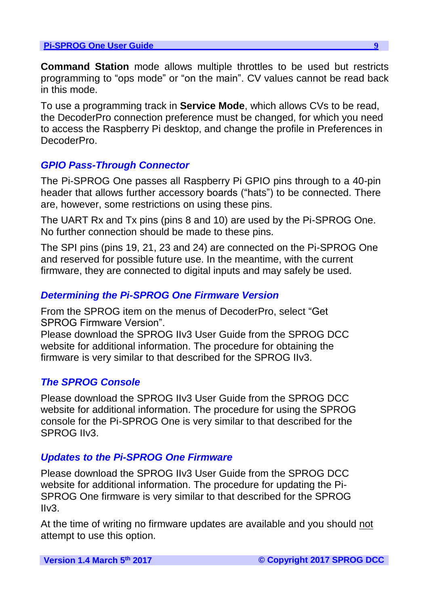**Command Station** mode allows multiple throttles to be used but restricts programming to "ops mode" or "on the main". CV values cannot be read back in this mode.

To use a programming track in **Service Mode**, which allows CVs to be read, the DecoderPro connection preference must be changed, for which you need to access the Raspberry Pi desktop, and change the profile in Preferences in DecoderPro.

#### *GPIO Pass-Through Connector*

The Pi-SPROG One passes all Raspberry Pi GPIO pins through to a 40-pin header that allows further accessory boards ("hats") to be connected. There are, however, some restrictions on using these pins.

The UART Rx and Tx pins (pins 8 and 10) are used by the Pi-SPROG One. No further connection should be made to these pins.

The SPI pins (pins 19, 21, 23 and 24) are connected on the Pi-SPROG One and reserved for possible future use. In the meantime, with the current firmware, they are connected to digital inputs and may safely be used.

#### *Determining the Pi-SPROG One Firmware Version*

From the SPROG item on the menus of DecoderPro, select "Get SPROG Firmware Version".

Please download the SPROG IIv3 User Guide from the SPROG DCC website for additional information. The procedure for obtaining the firmware is very similar to that described for the SPROG IIv3.

#### *The SPROG Console*

Please download the SPROG IIv3 User Guide from the SPROG DCC website for additional information. The procedure for using the SPROG console for the Pi-SPROG One is very similar to that described for the SPROG IIv3.

#### *Updates to the Pi-SPROG One Firmware*

Please download the SPROG IIv3 User Guide from the SPROG DCC website for additional information. The procedure for updating the Pi-SPROG One firmware is very similar to that described for the SPROG IIv3.

At the time of writing no firmware updates are available and you should not attempt to use this option.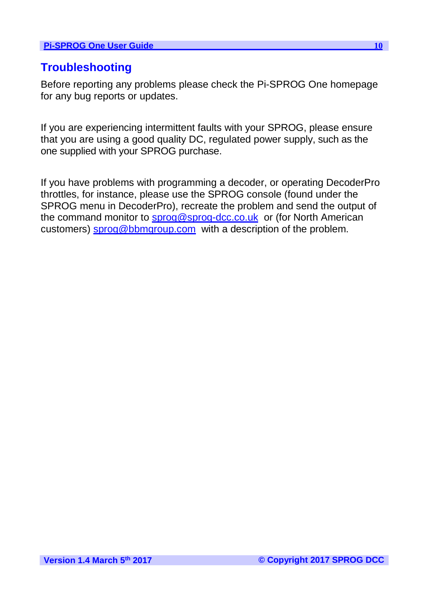## **Troubleshooting**

Before reporting any problems please check the Pi-SPROG One homepage for any bug reports or updates.

If you are experiencing intermittent faults with your SPROG, please ensure that you are using a good quality DC, regulated power supply, such as the one supplied with your SPROG purchase.

If you have problems with programming a decoder, or operating DecoderPro throttles, for instance, please use the SPROG console (found under the SPROG menu in DecoderPro), recreate the problem and send the output of the command monitor to **sprog@sprog-dcc.co.uk** or (for North American customers) **sprog@bbmgroup.com** with a description of the problem.